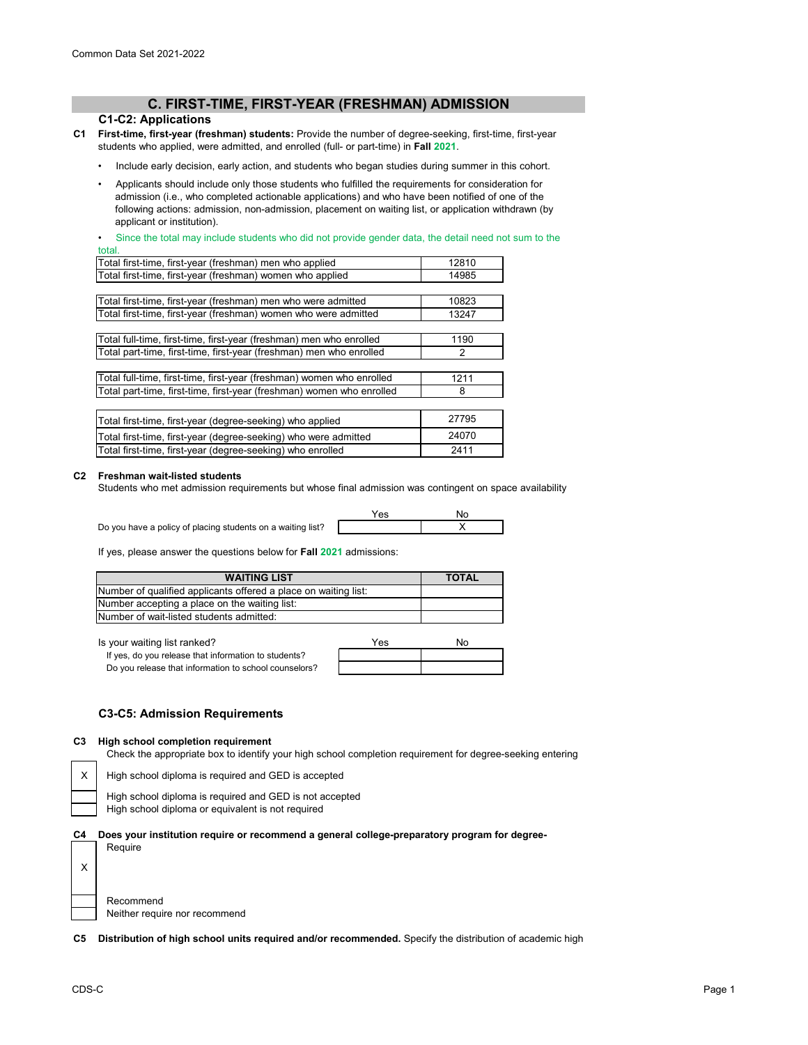## **C. FIRST-TIME, FIRST-YEAR (FRESHMAN) ADMISSION**

### **C1-C2: Applications**

- **C1 First-time, first-year (freshman) students:** Provide the number of degree-seeking, first-time, first-year students who applied, were admitted, and enrolled (full- or part-time) in **Fall 2021**.
	- Include early decision, early action, and students who began studies during summer in this cohort.
	- Applicants should include only those students who fulfilled the requirements for consideration for admission (i.e., who completed actionable applications) and who have been notified of one of the following actions: admission, non-admission, placement on waiting list, or application withdrawn (by applicant or institution).

Since the total may include students who did not provide gender data, the detail need not sum to the total.

| wiai.                                                                 |       |
|-----------------------------------------------------------------------|-------|
| Total first-time, first-year (freshman) men who applied               | 12810 |
| Total first-time, first-year (freshman) women who applied             | 14985 |
|                                                                       |       |
| Total first-time, first-year (freshman) men who were admitted         | 10823 |
| Total first-time, first-year (freshman) women who were admitted       | 13247 |
|                                                                       |       |
| Total full-time, first-time, first-year (freshman) men who enrolled   | 1190  |
| Total part-time, first-time, first-year (freshman) men who enrolled   | 2     |
|                                                                       |       |
| Total full-time, first-time, first-year (freshman) women who enrolled | 1211  |
| Total part-time, first-time, first-year (freshman) women who enrolled | 8     |
|                                                                       |       |
| Total first-time, first-year (degree-seeking) who applied             | 27795 |
| Total first-time, first-year (degree-seeking) who were admitted       | 24070 |
| Total first-time, first-year (degree-seeking) who enrolled            | 2411  |
|                                                                       |       |

### **C2 Freshman wait-listed students**

Students who met admission requirements but whose final admission was contingent on space availability

Do you have a policy of placing students on a waiting list?



If yes, please answer the questions below for **Fall 2021** admissions:

| <b>WAITING LIST</b>                                             | <b>TOTAL</b> |
|-----------------------------------------------------------------|--------------|
| Number of qualified applicants offered a place on waiting list: |              |
| Number accepting a place on the waiting list:                   |              |
| Number of wait-listed students admitted:                        |              |
|                                                                 |              |

| Is your waiting list ranked? |  |
|------------------------------|--|
|------------------------------|--|

| Is your waiting list ranked?                          | Yes | Nο |
|-------------------------------------------------------|-----|----|
| If yes, do you release that information to students?  |     |    |
| Do you release that information to school counselors? |     |    |

## **C3-C5: Admission Requirements**

### **C3 High school completion requirement**

Check the appropriate box to identify your high school completion requirement for degree-seeking entering

X

X

High school diploma is required and GED is accepted



**C4 Does your institution require or recommend a general college-preparatory program for degree-**

| Recommend                     |
|-------------------------------|
| Neither require nor recommend |

Require

**C5 Distribution of high school units required and/or recommended.** Specify the distribution of academic high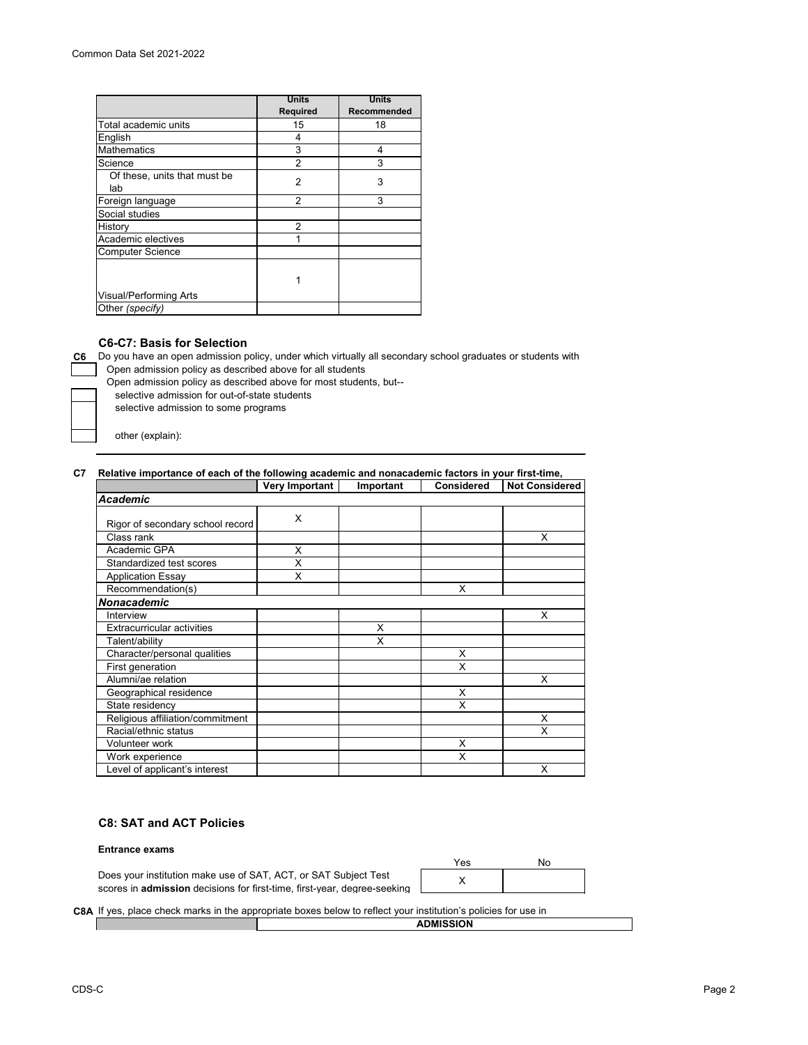|                                     | <b>Units</b>    | <b>Units</b>       |
|-------------------------------------|-----------------|--------------------|
|                                     | <b>Required</b> | <b>Recommended</b> |
| Total academic units                | 15              | 18                 |
| English                             | 4               |                    |
| <b>Mathematics</b>                  | 3               | 4                  |
| Science                             | 2               | 3                  |
| Of these, units that must be<br>lab | $\overline{2}$  | 3                  |
| Foreign language                    | 2               | 3                  |
| Social studies                      |                 |                    |
| History                             | 2               |                    |
| Academic electives                  | 1               |                    |
| <b>Computer Science</b>             |                 |                    |
|                                     |                 |                    |
| <b>Visual/Performing Arts</b>       |                 |                    |
| Other (specify)                     |                 |                    |

## **C6-C7: Basis for Selection**

**C6** Do you have an open admission policy, under which virtually all secondary school graduates or students with Open admission policy as described above for all students

Open admission policy as described above for most students, but--

selective admission for out-of-state students

selective admission to some programs

other (explain):

### **C7 Relative importance of each of the following academic and nonacademic factors in your first-time,**

|                                   | <b>Very Important</b> | Important | <b>Considered</b> | <b>Not Considered</b> |
|-----------------------------------|-----------------------|-----------|-------------------|-----------------------|
| <b>Academic</b>                   |                       |           |                   |                       |
| Rigor of secondary school record  | X                     |           |                   |                       |
| Class rank                        |                       |           |                   | X                     |
| Academic GPA                      | X                     |           |                   |                       |
| Standardized test scores          | X                     |           |                   |                       |
| <b>Application Essay</b>          | X                     |           |                   |                       |
| Recommendation(s)                 |                       |           | X                 |                       |
| Nonacademic                       |                       |           |                   |                       |
| Interview                         |                       |           |                   | X                     |
| <b>Extracurricular activities</b> |                       | X         |                   |                       |
| Talent/ability                    |                       | X         |                   |                       |
| Character/personal qualities      |                       |           | X                 |                       |
| First generation                  |                       |           | X                 |                       |
| Alumni/ae relation                |                       |           |                   | X                     |
| Geographical residence            |                       |           | X                 |                       |
| State residency                   |                       |           | X                 |                       |
| Religious affiliation/commitment  |                       |           |                   | X                     |
| Racial/ethnic status              |                       |           |                   | X                     |
| Volunteer work                    |                       |           | X                 |                       |
| Work experience                   |                       |           | X                 |                       |
| Level of applicant's interest     |                       |           |                   | X                     |

## **C8: SAT and ACT Policies**

#### **Entrance exams**

Does your institution make use of SAT, ACT, or SAT Subject Test scores in **admission** decisions for first-time, first-year, degree-seeking

| Yes | No |
|-----|----|
|     |    |

## **C8A** If yes, place check marks in the appropriate boxes below to reflect your institution's policies for use in

**ADMISSION**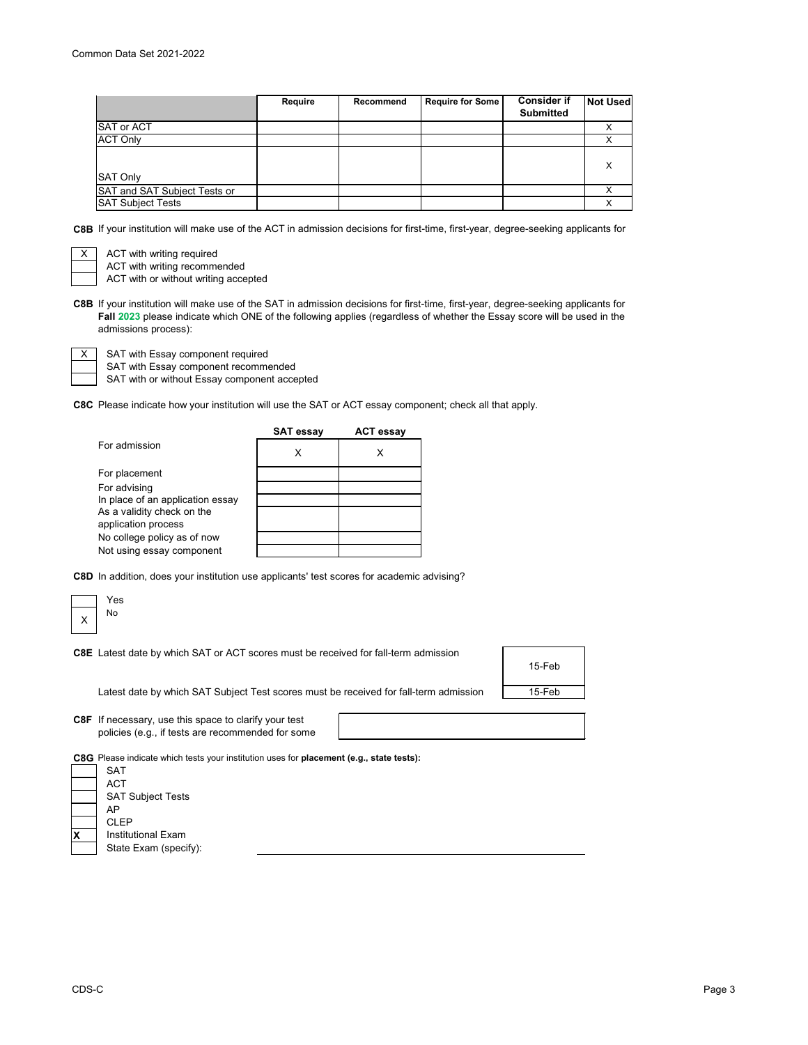|                              | Require | Recommend | <b>Require for Some</b> | <b>Consider if</b><br><b>Submitted</b> | <b>Not Used</b> |
|------------------------------|---------|-----------|-------------------------|----------------------------------------|-----------------|
| <b>SAT or ACT</b>            |         |           |                         |                                        |                 |
| <b>ACT Only</b>              |         |           |                         |                                        |                 |
|                              |         |           |                         |                                        |                 |
|                              |         |           |                         |                                        | х               |
| <b>SAT Only</b>              |         |           |                         |                                        |                 |
| SAT and SAT Subject Tests or |         |           |                         |                                        |                 |
| <b>SAT Subject Tests</b>     |         |           |                         |                                        |                 |

**C8B** If your institution will make use of the ACT in admission decisions for first-time, first-year, degree-seeking applicants for

ACT with writing required ACT with writing recommended

ACT with or without writing accepted

**C8B** If your institution will make use of the SAT in admission decisions for first-time, first-year, degree-seeking applicants for **Fall 2023** please indicate which ONE of the following applies (regardless of whether the Essay score will be used in the admissions process):

SAT with Essay component required

SAT with or without Essay component accepted SAT with Essay component recommended

**C8C** Please indicate how your institution will use the SAT or ACT essay component; check all that apply.

|                                  | <b>SAT essay</b> | <b>ACT essay</b> |
|----------------------------------|------------------|------------------|
| For admission                    | x                |                  |
| For placement                    |                  |                  |
| For advising                     |                  |                  |
| In place of an application essay |                  |                  |
| As a validity check on the       |                  |                  |
| application process              |                  |                  |
| No college policy as of now      |                  |                  |
| Not using essay component        |                  |                  |

**C8D** In addition, does your institution use applicants' test scores for academic advising?

|   | Yes                                                                                        |        |
|---|--------------------------------------------------------------------------------------------|--------|
| X | No.                                                                                        |        |
|   |                                                                                            |        |
|   | <b>C8E</b> Latest date by which SAT or ACT scores must be received for fall-term admission |        |
|   |                                                                                            | 15-Feb |
|   |                                                                                            |        |
|   | Latest date by which SAT Subject Test scores must be received for fall-term admission      | 15-Feb |
|   |                                                                                            |        |
|   | C8F If necessary, use this space to clarify your test                                      |        |
|   | policies (e.g., if tests are recommended for some                                          |        |
|   |                                                                                            |        |
|   | C8G Please indicate which tests your institution uses for placement (e.g., state tests):   |        |
|   | <b>SAT</b>                                                                                 |        |
|   | <b>ACT</b>                                                                                 |        |
|   | <b>SAT Subject Tests</b>                                                                   |        |
|   | AP.                                                                                        |        |
|   | <b>CLEP</b>                                                                                |        |

**X** Institutional Exam State Exam (specify):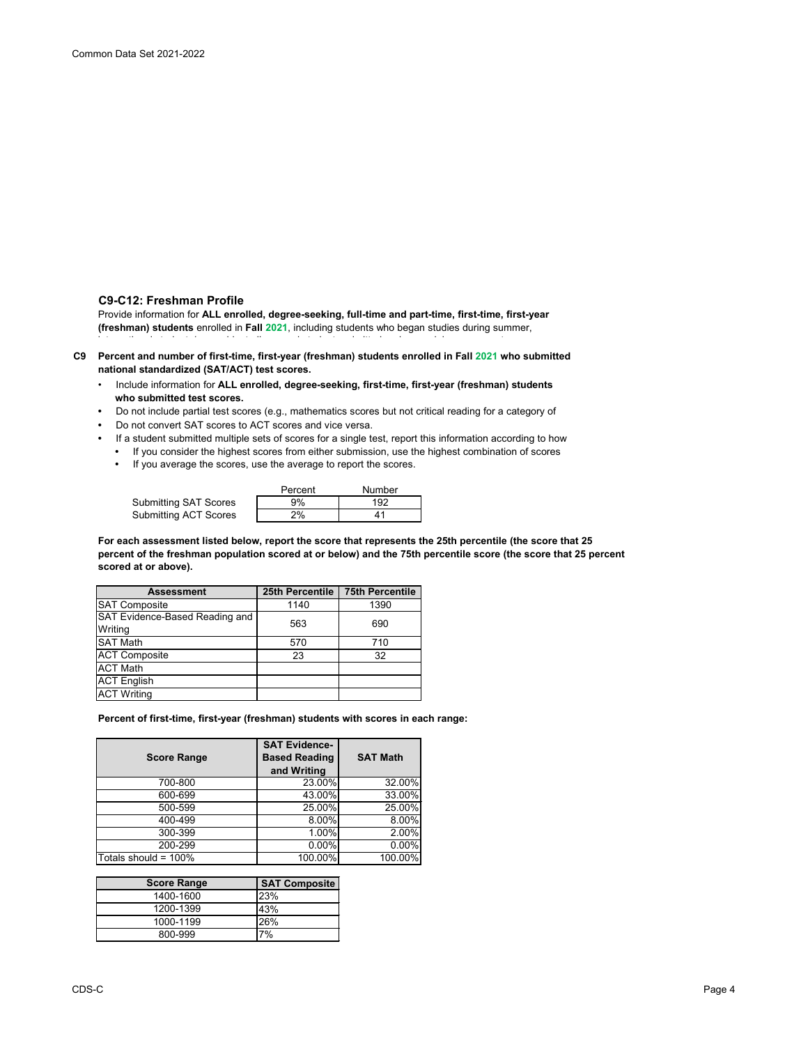## **C9-C12: Freshman Profile**

Provide information for **ALL enrolled, degree-seeking, full-time and part-time, first-time, first-year (freshman) students** enrolled in **Fall 2021**, including students who began studies during summer,

i t ti l t d t / id t li d t d t d itt d d i l t

- **C9 Percent and number of first-time, first-year (freshman) students enrolled in Fall 2021 who submitted national standardized (SAT/ACT) test scores.**
	- Include information for **ALL enrolled, degree-seeking, first-time, first-year (freshman) students who submitted test scores.**
	- Do not include partial test scores (e.g., mathematics scores but not critical reading for a category of
	- Do not convert SAT scores to ACT scores and vice versa.
	- If a student submitted multiple sets of scores for a single test, report this information according to how **•** If you consider the highest scores from either submission, use the highest combination of scores
		- If you average the scores, use the average to report the scores.

|                       | Percent | <b>Number</b> |
|-----------------------|---------|---------------|
| Submitting SAT Scores | 9%      | 192           |
| Submitting ACT Scores | 2%      |               |

**For each assessment listed below, report the score that represents the 25th percentile (the score that 25 percent of the freshman population scored at or below) and the 75th percentile score (the score that 25 percent scored at or above).**

| <b>Assessment</b>                                | 25th Percentile | <b>75th Percentile</b> |
|--------------------------------------------------|-----------------|------------------------|
| <b>SAT Composite</b>                             | 1140            | 1390                   |
| <b>SAT Evidence-Based Reading and</b><br>Writing | 563             | 690                    |
| <b>SAT Math</b>                                  | 570             | 710                    |
| <b>ACT Composite</b>                             | 23              | 32                     |
| <b>ACT Math</b>                                  |                 |                        |
| <b>ACT</b> English                               |                 |                        |
| <b>ACT Writing</b>                               |                 |                        |

**Percent of first-time, first-year (freshman) students with scores in each range:**

| <b>Score Range</b>   | <b>SAT Evidence-</b><br><b>Based Reading</b><br>and Writing | <b>SAT Math</b> |
|----------------------|-------------------------------------------------------------|-----------------|
| 700-800              | 23.00%                                                      | 32.00%          |
| 600-699              | 43.00%                                                      | 33.00%          |
| 500-599              | 25.00%                                                      | 25.00%          |
| 400-499              | 8.00%                                                       | 8.00%           |
| 300-399              | 1.00%                                                       | 2.00%           |
| 200-299              | 0.00%                                                       | $0.00\%$        |
| Totals should = 100% | 100.00%                                                     | $100.00\%$      |

| <b>Score Range</b> | <b>SAT Composite</b> |
|--------------------|----------------------|
| 1400-1600          | <b>23%</b>           |
| 1200-1399          | 43%                  |
| 1000-1199          | 26%                  |
| 800-999            | 7%                   |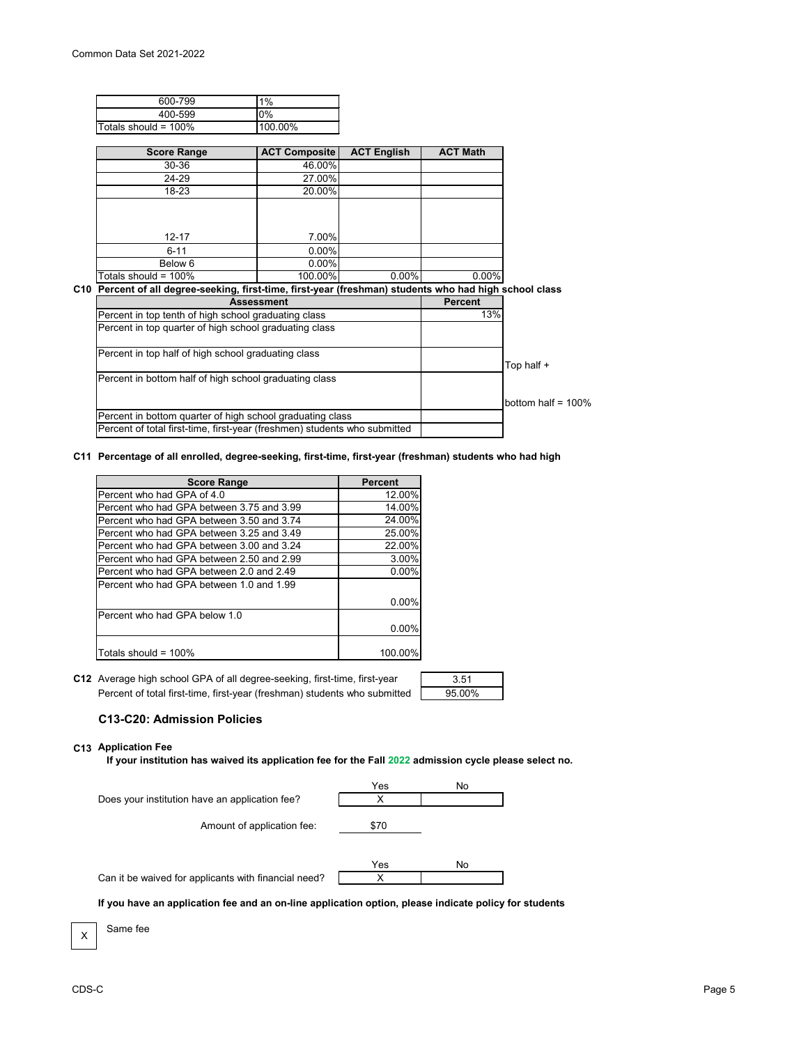| 600-799                     | $1\%$   |
|-----------------------------|---------|
| 400-599                     | $0\%$   |
| <b>Totals should = 100%</b> | 100.00% |

| <b>Score Range</b>   | <b>ACT Composite</b> | <b>ACT English</b> | <b>ACT Math</b> |
|----------------------|----------------------|--------------------|-----------------|
| 30-36                | 46.00%               |                    |                 |
| 24-29                | 27.00%               |                    |                 |
| 18-23                | 20.00%               |                    |                 |
| $12 - 17$            | 7.00%                |                    |                 |
| $6 - 11$             | 0.00%                |                    |                 |
| Below 6              | 0.00%                |                    |                 |
| Totals should = 100% | 100.00%              | 0.00%              | $0.00\%$        |

#### **C10 Percent of all degree-seeking, first-time, first-year (freshman) students who had high school class**

| <b>Assessment</b>                                                         | <b>Percent</b> |                       |
|---------------------------------------------------------------------------|----------------|-----------------------|
| Percent in top tenth of high school graduating class                      | 13%            |                       |
| Percent in top quarter of high school graduating class                    |                |                       |
| Percent in top half of high school graduating class                       |                | Top half +            |
| Percent in bottom half of high school graduating class                    |                |                       |
|                                                                           |                | bottom half = $100\%$ |
| Percent in bottom quarter of high school graduating class                 |                |                       |
| Percent of total first-time, first-year (freshmen) students who submitted |                |                       |

#### **C11 Percentage of all enrolled, degree-seeking, first-time, first-year (freshman) students who had high**

| <b>Score Range</b>                         | <b>Percent</b> |
|--------------------------------------------|----------------|
| Percent who had GPA of 4.0                 | 12.00%         |
| IPercent who had GPA between 3.75 and 3.99 | 14.00%         |
| Percent who had GPA between 3.50 and 3.74  | 24.00%         |
| IPercent who had GPA between 3.25 and 3.49 | 25.00%         |
| IPercent who had GPA between 3.00 and 3.24 | 22.00%         |
| Percent who had GPA between 2.50 and 2.99  | 3.00%          |
| Percent who had GPA between 2.0 and 2.49   | $0.00\%$       |
| IPercent who had GPA between 1.0 and 1.99  |                |
|                                            | 0.00%          |
| Percent who had GPA below 1.0              |                |
|                                            | 0.00%          |
| Totals should = 100%                       | 100.00%        |

**C12** Average high school GPA of all degree-seeking, first-time, first-year 1, 3.51 Percent of total first-time, first-year (freshman) students who submitted

| 3.51   |  |
|--------|--|
| 95.00% |  |

## **C13-C20: Admission Policies**

#### **C13 Application Fee**

Ι

Same fee

**If your institution has waived its application fee for the Fall 2022 admission cycle please select no.**



**If you have an application fee and an on-line application option, please indicate policy for students**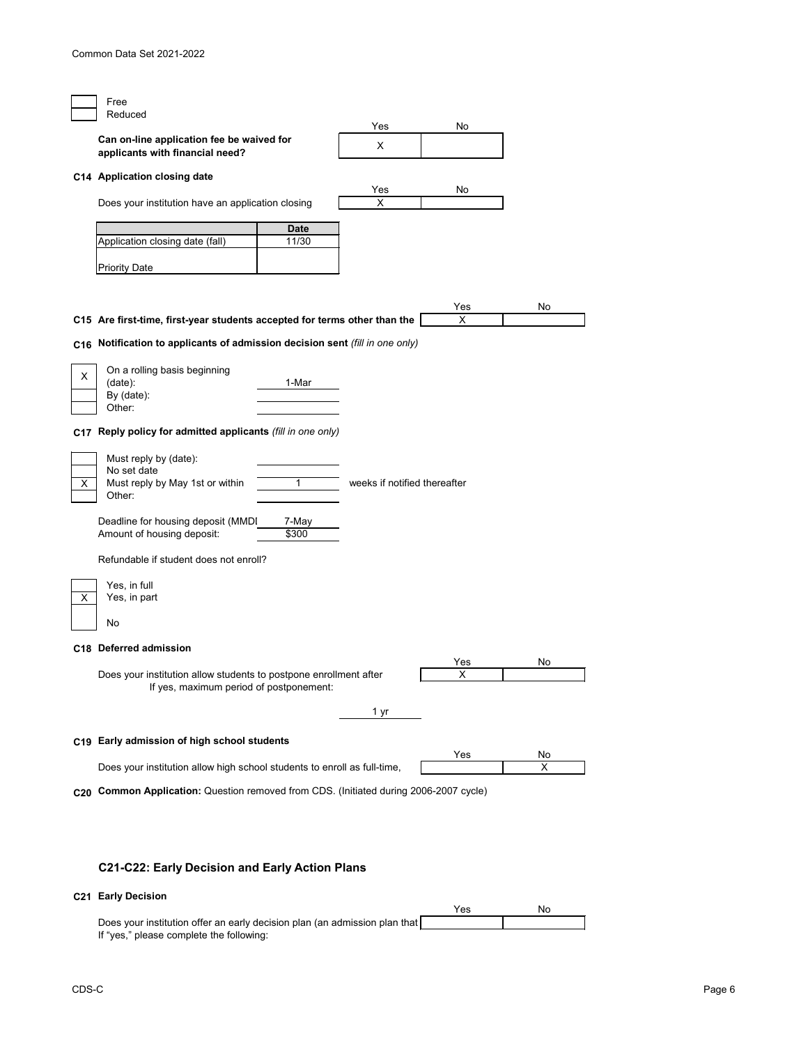|   | Free                                                                                  |             |                              |          |    |
|---|---------------------------------------------------------------------------------------|-------------|------------------------------|----------|----|
|   | Reduced                                                                               |             |                              |          |    |
|   | Can on-line application fee be waived for<br>applicants with financial need?          |             | Yes<br>X                     | No       |    |
|   |                                                                                       |             |                              |          |    |
|   | C14 Application closing date                                                          |             |                              |          |    |
|   |                                                                                       |             | Yes<br>X                     | No       |    |
|   | Does your institution have an application closing                                     |             |                              |          |    |
|   |                                                                                       | <b>Date</b> |                              |          |    |
|   | Application closing date (fall)                                                       | 11/30       |                              |          |    |
|   |                                                                                       |             |                              |          |    |
|   | <b>Priority Date</b>                                                                  |             |                              |          |    |
|   |                                                                                       |             |                              |          |    |
|   |                                                                                       |             |                              | Yes      | No |
|   | C15 Are first-time, first-year students accepted for terms other than the             |             |                              | X        |    |
|   | C16 Notification to applicants of admission decision sent (fill in one only)          |             |                              |          |    |
|   |                                                                                       |             |                              |          |    |
|   | On a rolling basis beginning                                                          |             |                              |          |    |
| X | (data):                                                                               | 1-Mar       |                              |          |    |
|   | By (date):                                                                            |             |                              |          |    |
|   | Other:                                                                                |             |                              |          |    |
|   | C17 Reply policy for admitted applicants (fill in one only)                           |             |                              |          |    |
|   | Must reply by (date):                                                                 |             |                              |          |    |
|   | No set date                                                                           |             |                              |          |    |
| X | Must reply by May 1st or within                                                       | $\mathbf 1$ | weeks if notified thereafter |          |    |
|   | Other:                                                                                |             |                              |          |    |
|   | Deadline for housing deposit (MMDI                                                    | 7-May       |                              |          |    |
|   | Amount of housing deposit:                                                            | \$300       |                              |          |    |
|   | Refundable if student does not enroll?                                                |             |                              |          |    |
|   |                                                                                       |             |                              |          |    |
|   | Yes, in full                                                                          |             |                              |          |    |
| X | Yes, in part                                                                          |             |                              |          |    |
|   | No                                                                                    |             |                              |          |    |
|   |                                                                                       |             |                              |          |    |
|   | C18 Deferred admission                                                                |             |                              |          |    |
|   | Does your institution allow students to postpone enrollment after                     |             |                              | Yes<br>X | No |
|   | If yes, maximum period of postponement:                                               |             |                              |          |    |
|   |                                                                                       |             |                              |          |    |
|   |                                                                                       |             | 1 yr                         |          |    |
|   | C19 Early admission of high school students                                           |             |                              |          |    |
|   |                                                                                       |             |                              | Yes      | No |
|   | Does your institution allow high school students to enroll as full-time,              |             |                              |          | X  |
|   | C20 Common Application: Question removed from CDS. (Initiated during 2006-2007 cycle) |             |                              |          |    |
|   |                                                                                       |             |                              |          |    |
|   |                                                                                       |             |                              |          |    |

# **C21-C22: Early Decision and Early Action Plans**

# **C21 Early Decision**

|                                                                             | Yes | Nο |
|-----------------------------------------------------------------------------|-----|----|
| Does your institution offer an early decision plan (an admission plan that) |     |    |
| If "yes," please complete the following:                                    |     |    |